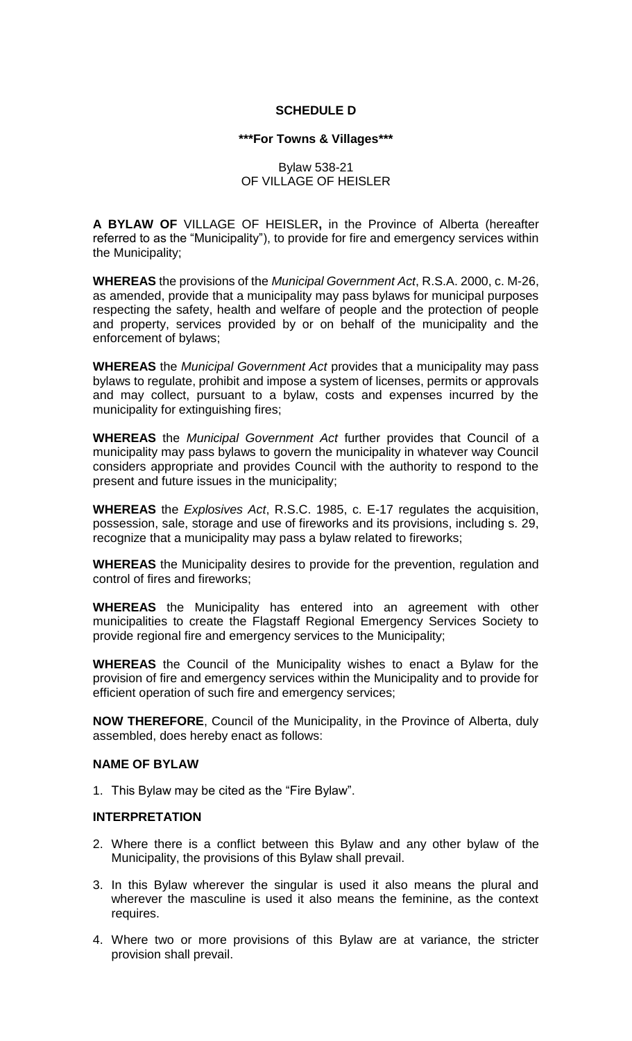## **SCHEDULE D**

### **\*\*\*For Towns & Villages\*\*\***

### Bylaw 538-21 OF VILLAGE OF HEISLER

**A BYLAW OF** VILLAGE OF HEISLER**,** in the Province of Alberta (hereafter referred to as the "Municipality"), to provide for fire and emergency services within the Municipality;

**WHEREAS** the provisions of the *Municipal Government Act*, R.S.A. 2000, c. M-26, as amended, provide that a municipality may pass bylaws for municipal purposes respecting the safety, health and welfare of people and the protection of people and property, services provided by or on behalf of the municipality and the enforcement of bylaws;

**WHEREAS** the *Municipal Government Act* provides that a municipality may pass bylaws to regulate, prohibit and impose a system of licenses, permits or approvals and may collect, pursuant to a bylaw, costs and expenses incurred by the municipality for extinguishing fires;

**WHEREAS** the *Municipal Government Act* further provides that Council of a municipality may pass bylaws to govern the municipality in whatever way Council considers appropriate and provides Council with the authority to respond to the present and future issues in the municipality;

**WHEREAS** the *Explosives Act*, R.S.C. 1985, c. E-17 regulates the acquisition, possession, sale, storage and use of fireworks and its provisions, including s. 29, recognize that a municipality may pass a bylaw related to fireworks;

**WHEREAS** the Municipality desires to provide for the prevention, regulation and control of fires and fireworks;

**WHEREAS** the Municipality has entered into an agreement with other municipalities to create the Flagstaff Regional Emergency Services Society to provide regional fire and emergency services to the Municipality;

**WHEREAS** the Council of the Municipality wishes to enact a Bylaw for the provision of fire and emergency services within the Municipality and to provide for efficient operation of such fire and emergency services;

**NOW THEREFORE**, Council of the Municipality, in the Province of Alberta, duly assembled, does hereby enact as follows:

### **NAME OF BYLAW**

1. This Bylaw may be cited as the "Fire Bylaw".

#### **INTERPRETATION**

- 2. Where there is a conflict between this Bylaw and any other bylaw of the Municipality, the provisions of this Bylaw shall prevail.
- 3. In this Bylaw wherever the singular is used it also means the plural and wherever the masculine is used it also means the feminine, as the context requires.
- 4. Where two or more provisions of this Bylaw are at variance, the stricter provision shall prevail.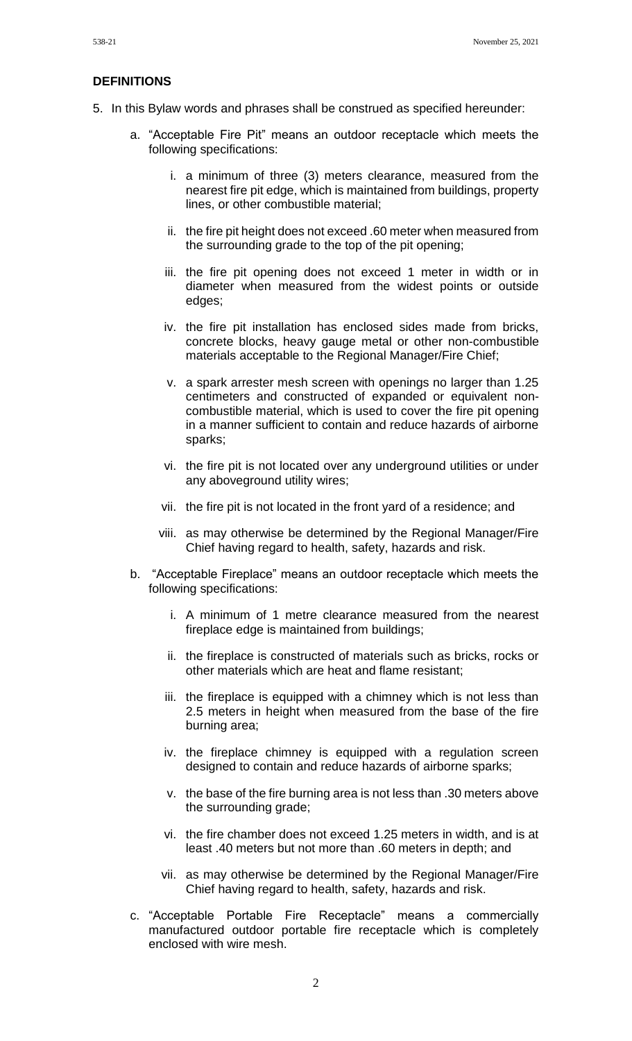#### **DEFINITIONS**

- 5. In this Bylaw words and phrases shall be construed as specified hereunder:
	- a. "Acceptable Fire Pit" means an outdoor receptacle which meets the following specifications:
		- i. a minimum of three (3) meters clearance, measured from the nearest fire pit edge, which is maintained from buildings, property lines, or other combustible material;
		- ii. the fire pit height does not exceed .60 meter when measured from the surrounding grade to the top of the pit opening;
		- iii. the fire pit opening does not exceed 1 meter in width or in diameter when measured from the widest points or outside edges;
		- iv. the fire pit installation has enclosed sides made from bricks, concrete blocks, heavy gauge metal or other non-combustible materials acceptable to the Regional Manager/Fire Chief;
		- v. a spark arrester mesh screen with openings no larger than 1.25 centimeters and constructed of expanded or equivalent noncombustible material, which is used to cover the fire pit opening in a manner sufficient to contain and reduce hazards of airborne sparks;
		- vi. the fire pit is not located over any underground utilities or under any aboveground utility wires;
		- vii. the fire pit is not located in the front yard of a residence; and
		- viii. as may otherwise be determined by the Regional Manager/Fire Chief having regard to health, safety, hazards and risk.
	- b. "Acceptable Fireplace" means an outdoor receptacle which meets the following specifications:
		- i. A minimum of 1 metre clearance measured from the nearest fireplace edge is maintained from buildings;
		- ii. the fireplace is constructed of materials such as bricks, rocks or other materials which are heat and flame resistant;
		- iii. the fireplace is equipped with a chimney which is not less than 2.5 meters in height when measured from the base of the fire burning area;
		- iv. the fireplace chimney is equipped with a regulation screen designed to contain and reduce hazards of airborne sparks;
		- v. the base of the fire burning area is not less than .30 meters above the surrounding grade;
		- vi. the fire chamber does not exceed 1.25 meters in width, and is at least .40 meters but not more than .60 meters in depth; and
		- vii. as may otherwise be determined by the Regional Manager/Fire Chief having regard to health, safety, hazards and risk.
	- c. "Acceptable Portable Fire Receptacle" means a commercially manufactured outdoor portable fire receptacle which is completely enclosed with wire mesh.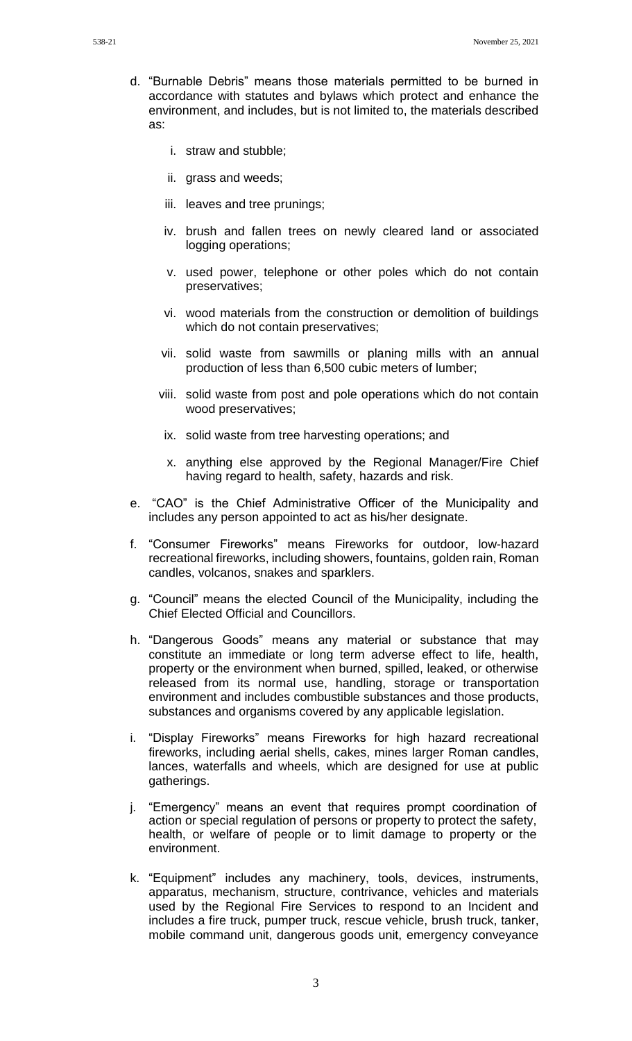- d. "Burnable Debris" means those materials permitted to be burned in accordance with statutes and bylaws which protect and enhance the environment, and includes, but is not limited to, the materials described as:
	- i. straw and stubble;
	- ii. grass and weeds;
	- iii. leaves and tree prunings;
	- iv. brush and fallen trees on newly cleared land or associated logging operations;
	- v. used power, telephone or other poles which do not contain preservatives;
	- vi. wood materials from the construction or demolition of buildings which do not contain preservatives;
	- vii. solid waste from sawmills or planing mills with an annual production of less than 6,500 cubic meters of lumber;
	- viii. solid waste from post and pole operations which do not contain wood preservatives;
	- ix. solid waste from tree harvesting operations; and
	- x. anything else approved by the Regional Manager/Fire Chief having regard to health, safety, hazards and risk.
- e. "CAO" is the Chief Administrative Officer of the Municipality and includes any person appointed to act as his/her designate.
- f. "Consumer Fireworks" means Fireworks for outdoor, low-hazard recreational fireworks, including showers, fountains, golden rain, Roman candles, volcanos, snakes and sparklers.
- g. "Council" means the elected Council of the Municipality, including the Chief Elected Official and Councillors.
- h. "Dangerous Goods" means any material or substance that may constitute an immediate or long term adverse effect to life, health, property or the environment when burned, spilled, leaked, or otherwise released from its normal use, handling, storage or transportation environment and includes combustible substances and those products, substances and organisms covered by any applicable legislation.
- i. "Display Fireworks" means Fireworks for high hazard recreational fireworks, including aerial shells, cakes, mines larger Roman candles, lances, waterfalls and wheels, which are designed for use at public gatherings.
- j. "Emergency" means an event that requires prompt coordination of action or special regulation of persons or property to protect the safety, health, or welfare of people or to limit damage to property or the environment.
- k. "Equipment" includes any machinery, tools, devices, instruments, apparatus, mechanism, structure, contrivance, vehicles and materials used by the Regional Fire Services to respond to an Incident and includes a fire truck, pumper truck, rescue vehicle, brush truck, tanker, mobile command unit, dangerous goods unit, emergency conveyance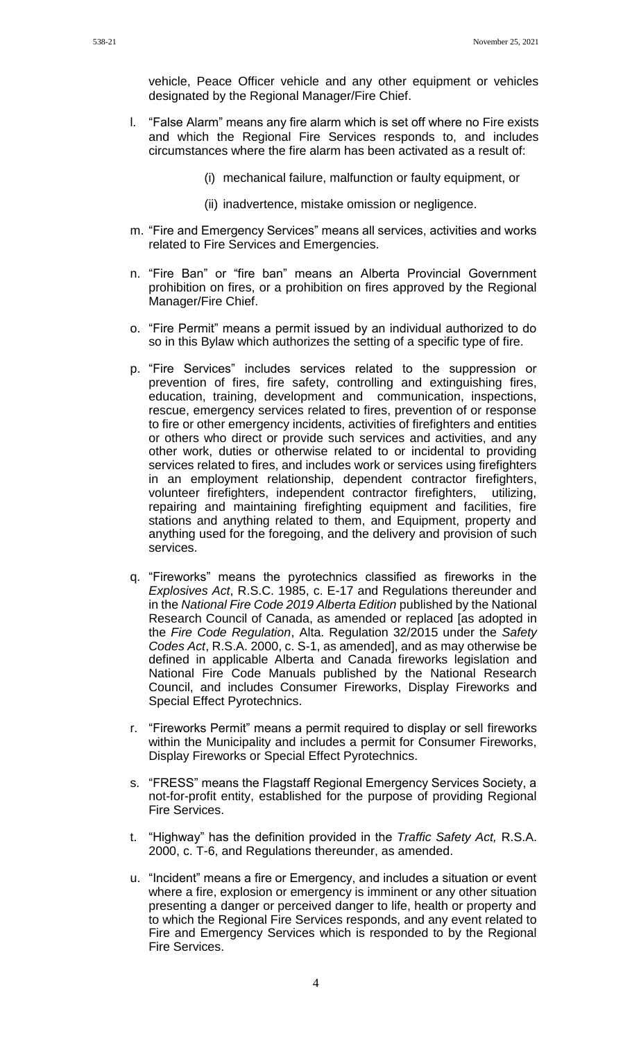vehicle, Peace Officer vehicle and any other equipment or vehicles designated by the Regional Manager/Fire Chief.

- l. "False Alarm" means any fire alarm which is set off where no Fire exists and which the Regional Fire Services responds to, and includes circumstances where the fire alarm has been activated as a result of:
	- (i) mechanical failure, malfunction or faulty equipment, or
	- (ii) inadvertence, mistake omission or negligence.
- m. "Fire and Emergency Services" means all services, activities and works related to Fire Services and Emergencies.
- n. "Fire Ban" or "fire ban" means an Alberta Provincial Government prohibition on fires, or a prohibition on fires approved by the Regional Manager/Fire Chief.
- o. "Fire Permit" means a permit issued by an individual authorized to do so in this Bylaw which authorizes the setting of a specific type of fire.
- p. "Fire Services" includes services related to the suppression or prevention of fires, fire safety, controlling and extinguishing fires, education, training, development and communication, inspections, rescue, emergency services related to fires, prevention of or response to fire or other emergency incidents, activities of firefighters and entities or others who direct or provide such services and activities, and any other work, duties or otherwise related to or incidental to providing services related to fires, and includes work or services using firefighters in an employment relationship, dependent contractor firefighters, volunteer firefighters, independent contractor firefighters, utilizing, repairing and maintaining firefighting equipment and facilities, fire stations and anything related to them, and Equipment, property and anything used for the foregoing, and the delivery and provision of such services.
- q. "Fireworks" means the pyrotechnics classified as fireworks in the *Explosives Act*, R.S.C. 1985, c. E-17 and Regulations thereunder and in the *National Fire Code 2019 Alberta Edition* published by the National Research Council of Canada, as amended or replaced [as adopted in the *Fire Code Regulation*, Alta. Regulation 32/2015 under the *Safety Codes Act*, R.S.A. 2000, c. S-1, as amended], and as may otherwise be defined in applicable Alberta and Canada fireworks legislation and National Fire Code Manuals published by the National Research Council, and includes Consumer Fireworks, Display Fireworks and Special Effect Pyrotechnics.
- r. "Fireworks Permit" means a permit required to display or sell fireworks within the Municipality and includes a permit for Consumer Fireworks, Display Fireworks or Special Effect Pyrotechnics.
- s. "FRESS" means the Flagstaff Regional Emergency Services Society, a not-for-profit entity, established for the purpose of providing Regional Fire Services.
- t. "Highway" has the definition provided in the *Traffic Safety Act,* R.S.A. 2000, c. T-6, and Regulations thereunder, as amended.
- u. "Incident" means a fire or Emergency, and includes a situation or event where a fire, explosion or emergency is imminent or any other situation presenting a danger or perceived danger to life, health or property and to which the Regional Fire Services responds, and any event related to Fire and Emergency Services which is responded to by the Regional Fire Services.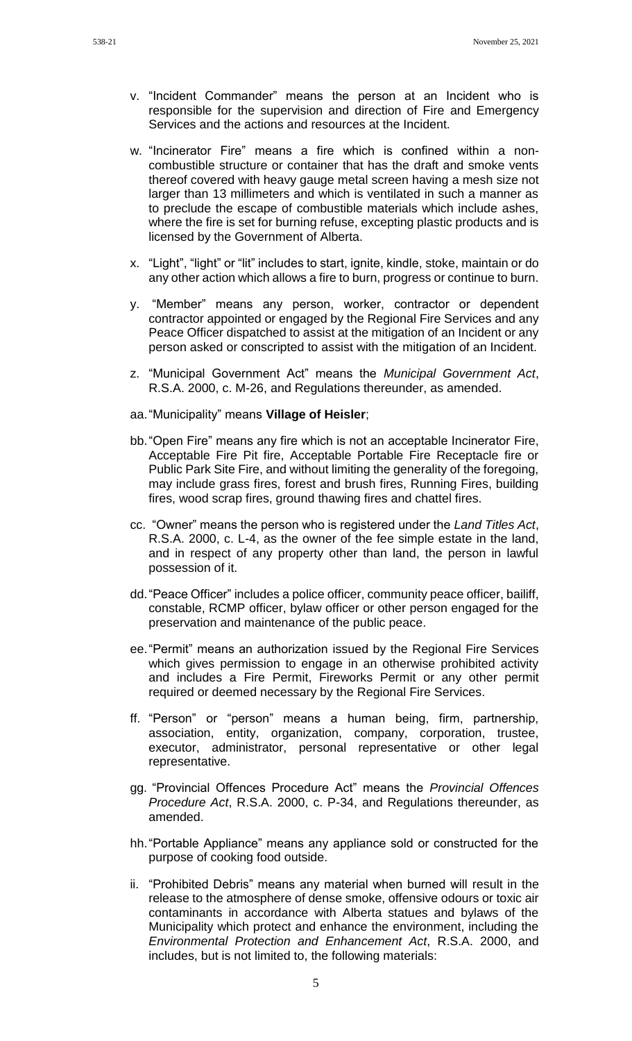- w. "Incinerator Fire" means a fire which is confined within a noncombustible structure or container that has the draft and smoke vents thereof covered with heavy gauge metal screen having a mesh size not larger than 13 millimeters and which is ventilated in such a manner as to preclude the escape of combustible materials which include ashes, where the fire is set for burning refuse, excepting plastic products and is licensed by the Government of Alberta.
- x. "Light", "light" or "lit" includes to start, ignite, kindle, stoke, maintain or do any other action which allows a fire to burn, progress or continue to burn.
- y. "Member" means any person, worker, contractor or dependent contractor appointed or engaged by the Regional Fire Services and any Peace Officer dispatched to assist at the mitigation of an Incident or any person asked or conscripted to assist with the mitigation of an Incident.
- z. "Municipal Government Act" means the *Municipal Government Act*, R.S.A. 2000, c. M-26, and Regulations thereunder, as amended.
- aa."Municipality" means **Village of Heisler**;
- bb."Open Fire" means any fire which is not an acceptable Incinerator Fire, Acceptable Fire Pit fire, Acceptable Portable Fire Receptacle fire or Public Park Site Fire, and without limiting the generality of the foregoing, may include grass fires, forest and brush fires, Running Fires, building fires, wood scrap fires, ground thawing fires and chattel fires.
- cc. "Owner" means the person who is registered under the *Land Titles Act*, R.S.A. 2000, c. L-4, as the owner of the fee simple estate in the land, and in respect of any property other than land, the person in lawful possession of it.
- dd."Peace Officer" includes a police officer, community peace officer, bailiff, constable, RCMP officer, bylaw officer or other person engaged for the preservation and maintenance of the public peace.
- ee."Permit" means an authorization issued by the Regional Fire Services which gives permission to engage in an otherwise prohibited activity and includes a Fire Permit, Fireworks Permit or any other permit required or deemed necessary by the Regional Fire Services.
- ff. "Person" or "person" means a human being, firm, partnership, association, entity, organization, company, corporation, trustee, executor, administrator, personal representative or other legal representative.
- gg. "Provincial Offences Procedure Act" means the *Provincial Offences Procedure Act*, R.S.A. 2000, c. P-34, and Regulations thereunder, as amended.
- hh."Portable Appliance" means any appliance sold or constructed for the purpose of cooking food outside.
- ii. "Prohibited Debris" means any material when burned will result in the release to the atmosphere of dense smoke, offensive odours or toxic air contaminants in accordance with Alberta statues and bylaws of the Municipality which protect and enhance the environment, including the *Environmental Protection and Enhancement Act*, R.S.A. 2000, and includes, but is not limited to, the following materials: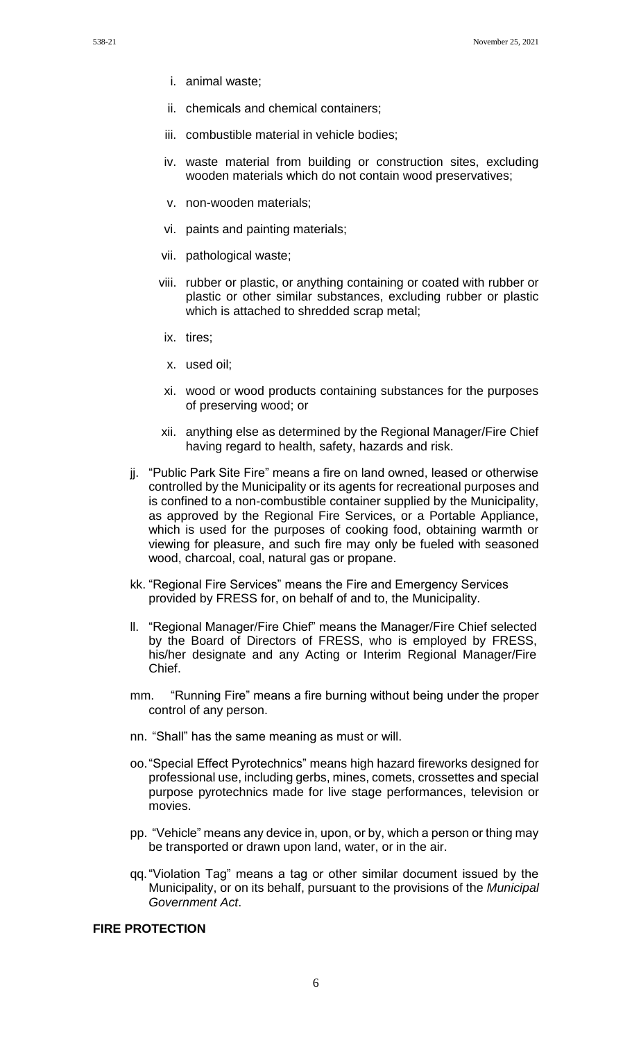- i. animal waste;
- ii. chemicals and chemical containers;
- iii. combustible material in vehicle bodies;
- iv. waste material from building or construction sites, excluding wooden materials which do not contain wood preservatives;
- v. non-wooden materials;
- vi. paints and painting materials;
- vii. pathological waste;
- viii. rubber or plastic, or anything containing or coated with rubber or plastic or other similar substances, excluding rubber or plastic which is attached to shredded scrap metal;
- ix. tires;
- x. used oil;
- xi. wood or wood products containing substances for the purposes of preserving wood; or
- xii. anything else as determined by the Regional Manager/Fire Chief having regard to health, safety, hazards and risk.
- jj. "Public Park Site Fire" means a fire on land owned, leased or otherwise controlled by the Municipality or its agents for recreational purposes and is confined to a non-combustible container supplied by the Municipality, as approved by the Regional Fire Services, or a Portable Appliance, which is used for the purposes of cooking food, obtaining warmth or viewing for pleasure, and such fire may only be fueled with seasoned wood, charcoal, coal, natural gas or propane.
- kk. "Regional Fire Services" means the Fire and Emergency Services provided by FRESS for, on behalf of and to, the Municipality.
- ll. "Regional Manager/Fire Chief" means the Manager/Fire Chief selected by the Board of Directors of FRESS, who is employed by FRESS, his/her designate and any Acting or Interim Regional Manager/Fire Chief.
- mm. "Running Fire" means a fire burning without being under the proper control of any person.
- nn. "Shall" has the same meaning as must or will.
- oo."Special Effect Pyrotechnics" means high hazard fireworks designed for professional use, including gerbs, mines, comets, crossettes and special purpose pyrotechnics made for live stage performances, television or movies.
- pp. "Vehicle" means any device in, upon, or by, which a person or thing may be transported or drawn upon land, water, or in the air.
- qq."Violation Tag" means a tag or other similar document issued by the Municipality, or on its behalf, pursuant to the provisions of the *Municipal Government Act*.

# **FIRE PROTECTION**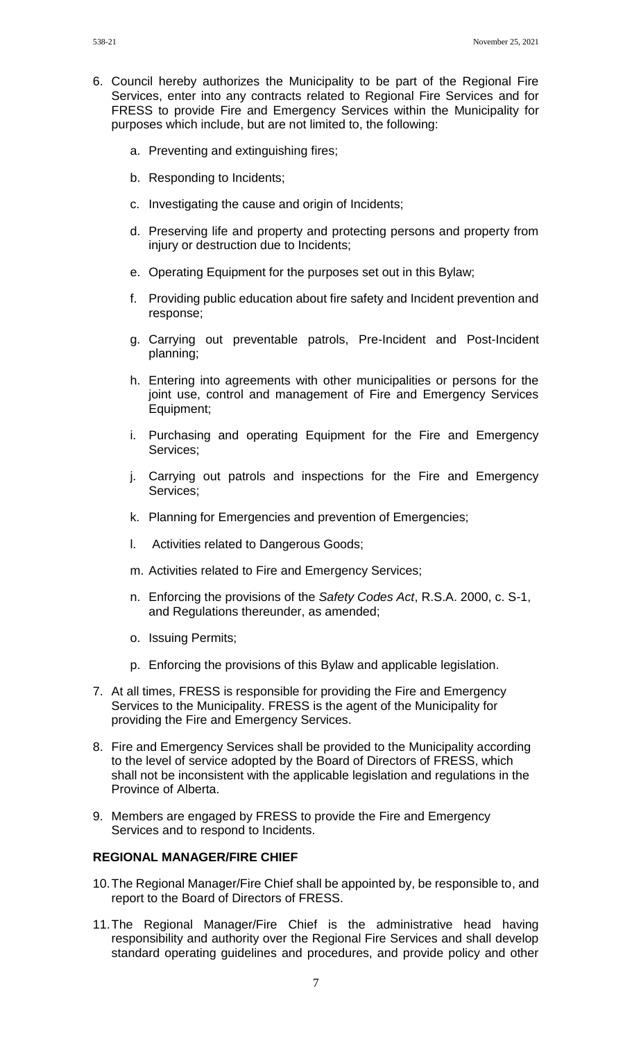- 6. Council hereby authorizes the Municipality to be part of the Regional Fire Services, enter into any contracts related to Regional Fire Services and for FRESS to provide Fire and Emergency Services within the Municipality for purposes which include, but are not limited to, the following:
	- a. Preventing and extinguishing fires;
	- b. Responding to Incidents;
	- c. Investigating the cause and origin of Incidents;
	- d. Preserving life and property and protecting persons and property from injury or destruction due to Incidents;
	- e. Operating Equipment for the purposes set out in this Bylaw;
	- f. Providing public education about fire safety and Incident prevention and response;
	- g. Carrying out preventable patrols, Pre-Incident and Post-Incident planning;
	- h. Entering into agreements with other municipalities or persons for the joint use, control and management of Fire and Emergency Services Equipment;
	- i. Purchasing and operating Equipment for the Fire and Emergency Services;
	- j. Carrying out patrols and inspections for the Fire and Emergency Services;
	- k. Planning for Emergencies and prevention of Emergencies;
	- l. Activities related to Dangerous Goods;
	- m. Activities related to Fire and Emergency Services;
	- n. Enforcing the provisions of the *Safety Codes Act*, R.S.A. 2000, c. S-1, and Regulations thereunder, as amended;
	- o. Issuing Permits;
	- p. Enforcing the provisions of this Bylaw and applicable legislation.
- 7. At all times, FRESS is responsible for providing the Fire and Emergency Services to the Municipality. FRESS is the agent of the Municipality for providing the Fire and Emergency Services.
- 8. Fire and Emergency Services shall be provided to the Municipality according to the level of service adopted by the Board of Directors of FRESS, which shall not be inconsistent with the applicable legislation and regulations in the Province of Alberta.
- 9. Members are engaged by FRESS to provide the Fire and Emergency Services and to respond to Incidents.

#### **REGIONAL MANAGER/FIRE CHIEF**

- 10.The Regional Manager/Fire Chief shall be appointed by, be responsible to, and report to the Board of Directors of FRESS.
- 11.The Regional Manager/Fire Chief is the administrative head having responsibility and authority over the Regional Fire Services and shall develop standard operating guidelines and procedures, and provide policy and other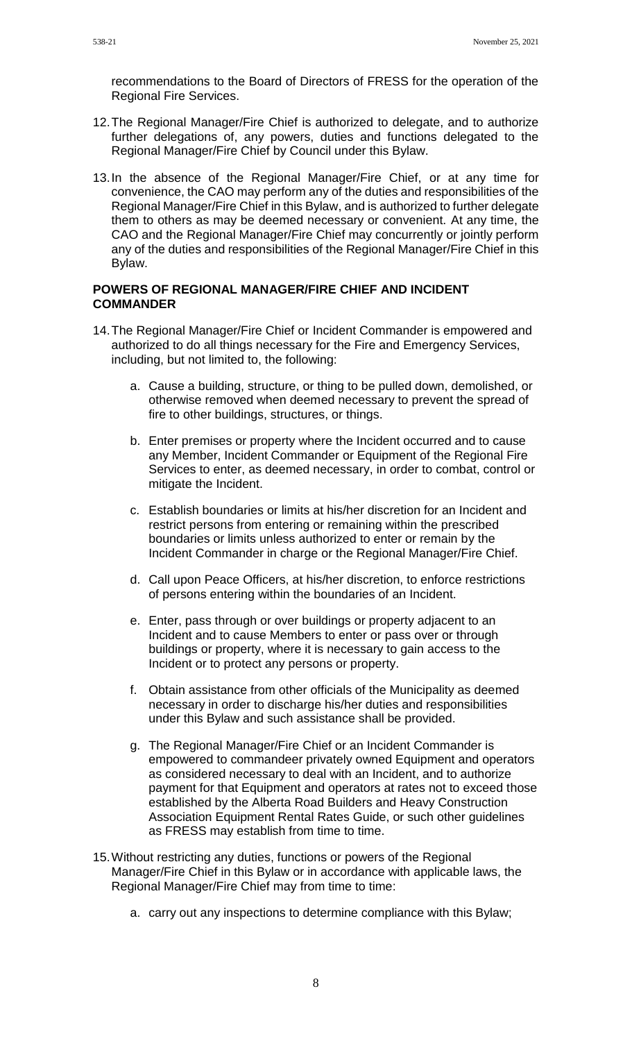- 12.The Regional Manager/Fire Chief is authorized to delegate, and to authorize further delegations of, any powers, duties and functions delegated to the Regional Manager/Fire Chief by Council under this Bylaw.
- 13.In the absence of the Regional Manager/Fire Chief, or at any time for convenience, the CAO may perform any of the duties and responsibilities of the Regional Manager/Fire Chief in this Bylaw, and is authorized to further delegate them to others as may be deemed necessary or convenient. At any time, the CAO and the Regional Manager/Fire Chief may concurrently or jointly perform any of the duties and responsibilities of the Regional Manager/Fire Chief in this Bylaw.

### **POWERS OF REGIONAL MANAGER/FIRE CHIEF AND INCIDENT COMMANDER**

- 14.The Regional Manager/Fire Chief or Incident Commander is empowered and authorized to do all things necessary for the Fire and Emergency Services, including, but not limited to, the following:
	- a. Cause a building, structure, or thing to be pulled down, demolished, or otherwise removed when deemed necessary to prevent the spread of fire to other buildings, structures, or things.
	- b. Enter premises or property where the Incident occurred and to cause any Member, Incident Commander or Equipment of the Regional Fire Services to enter, as deemed necessary, in order to combat, control or mitigate the Incident.
	- c. Establish boundaries or limits at his/her discretion for an Incident and restrict persons from entering or remaining within the prescribed boundaries or limits unless authorized to enter or remain by the Incident Commander in charge or the Regional Manager/Fire Chief.
	- d. Call upon Peace Officers, at his/her discretion, to enforce restrictions of persons entering within the boundaries of an Incident.
	- e. Enter, pass through or over buildings or property adjacent to an Incident and to cause Members to enter or pass over or through buildings or property, where it is necessary to gain access to the Incident or to protect any persons or property.
	- f. Obtain assistance from other officials of the Municipality as deemed necessary in order to discharge his/her duties and responsibilities under this Bylaw and such assistance shall be provided.
	- g. The Regional Manager/Fire Chief or an Incident Commander is empowered to commandeer privately owned Equipment and operators as considered necessary to deal with an Incident, and to authorize payment for that Equipment and operators at rates not to exceed those established by the Alberta Road Builders and Heavy Construction Association Equipment Rental Rates Guide, or such other guidelines as FRESS may establish from time to time.
- 15.Without restricting any duties, functions or powers of the Regional Manager/Fire Chief in this Bylaw or in accordance with applicable laws, the Regional Manager/Fire Chief may from time to time:
	- a. carry out any inspections to determine compliance with this Bylaw;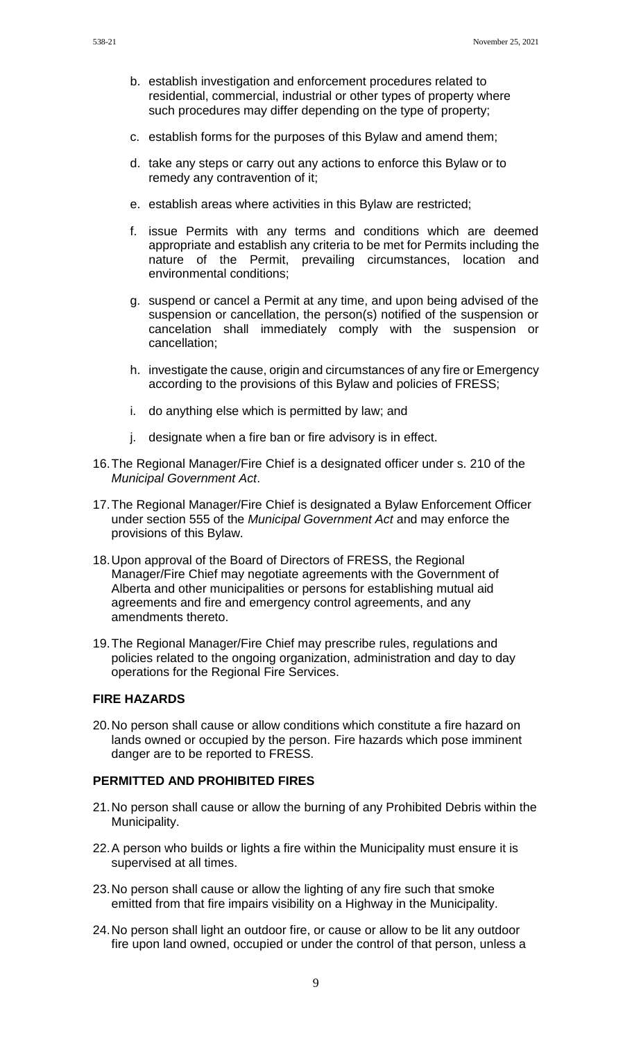- b. establish investigation and enforcement procedures related to residential, commercial, industrial or other types of property where such procedures may differ depending on the type of property;
- c. establish forms for the purposes of this Bylaw and amend them;
- d. take any steps or carry out any actions to enforce this Bylaw or to remedy any contravention of it;
- e. establish areas where activities in this Bylaw are restricted;
- f. issue Permits with any terms and conditions which are deemed appropriate and establish any criteria to be met for Permits including the nature of the Permit, prevailing circumstances, location and environmental conditions;
- g. suspend or cancel a Permit at any time, and upon being advised of the suspension or cancellation, the person(s) notified of the suspension or cancelation shall immediately comply with the suspension or cancellation;
- h. investigate the cause, origin and circumstances of any fire or Emergency according to the provisions of this Bylaw and policies of FRESS;
- i. do anything else which is permitted by law; and
- j. designate when a fire ban or fire advisory is in effect.
- 16.The Regional Manager/Fire Chief is a designated officer under s. 210 of the *Municipal Government Act*.
- 17.The Regional Manager/Fire Chief is designated a Bylaw Enforcement Officer under section 555 of the *Municipal Government Act* and may enforce the provisions of this Bylaw.
- 18.Upon approval of the Board of Directors of FRESS, the Regional Manager/Fire Chief may negotiate agreements with the Government of Alberta and other municipalities or persons for establishing mutual aid agreements and fire and emergency control agreements, and any amendments thereto.
- 19.The Regional Manager/Fire Chief may prescribe rules, regulations and policies related to the ongoing organization, administration and day to day operations for the Regional Fire Services.

## **FIRE HAZARDS**

20.No person shall cause or allow conditions which constitute a fire hazard on lands owned or occupied by the person. Fire hazards which pose imminent danger are to be reported to FRESS.

### **PERMITTED AND PROHIBITED FIRES**

- 21.No person shall cause or allow the burning of any Prohibited Debris within the Municipality.
- 22.A person who builds or lights a fire within the Municipality must ensure it is supervised at all times.
- 23.No person shall cause or allow the lighting of any fire such that smoke emitted from that fire impairs visibility on a Highway in the Municipality.
- 24.No person shall light an outdoor fire, or cause or allow to be lit any outdoor fire upon land owned, occupied or under the control of that person, unless a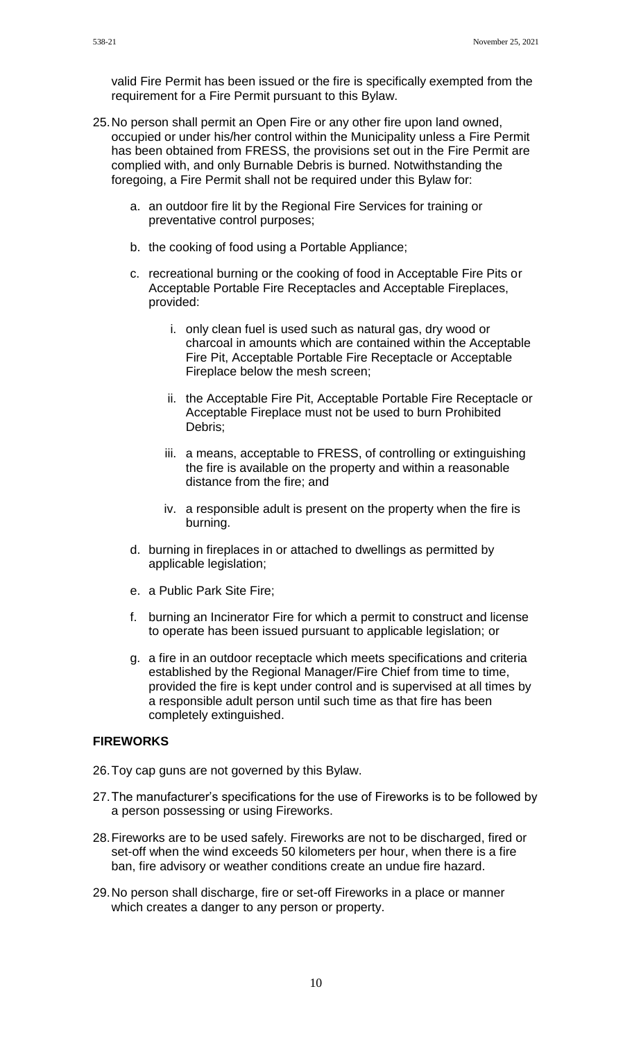valid Fire Permit has been issued or the fire is specifically exempted from the requirement for a Fire Permit pursuant to this Bylaw.

- 25.No person shall permit an Open Fire or any other fire upon land owned, occupied or under his/her control within the Municipality unless a Fire Permit has been obtained from FRESS, the provisions set out in the Fire Permit are complied with, and only Burnable Debris is burned. Notwithstanding the foregoing, a Fire Permit shall not be required under this Bylaw for:
	- a. an outdoor fire lit by the Regional Fire Services for training or preventative control purposes;
	- b. the cooking of food using a Portable Appliance;
	- c. recreational burning or the cooking of food in Acceptable Fire Pits or Acceptable Portable Fire Receptacles and Acceptable Fireplaces, provided:
		- i. only clean fuel is used such as natural gas, dry wood or charcoal in amounts which are contained within the Acceptable Fire Pit, Acceptable Portable Fire Receptacle or Acceptable Fireplace below the mesh screen;
		- ii. the Acceptable Fire Pit, Acceptable Portable Fire Receptacle or Acceptable Fireplace must not be used to burn Prohibited Debris;
		- iii. a means, acceptable to FRESS, of controlling or extinguishing the fire is available on the property and within a reasonable distance from the fire; and
		- iv. a responsible adult is present on the property when the fire is burning.
	- d. burning in fireplaces in or attached to dwellings as permitted by applicable legislation;
	- e. a Public Park Site Fire;
	- f. burning an Incinerator Fire for which a permit to construct and license to operate has been issued pursuant to applicable legislation; or
	- g. a fire in an outdoor receptacle which meets specifications and criteria established by the Regional Manager/Fire Chief from time to time, provided the fire is kept under control and is supervised at all times by a responsible adult person until such time as that fire has been completely extinguished.

### **FIREWORKS**

26.Toy cap guns are not governed by this Bylaw.

- 27.The manufacturer's specifications for the use of Fireworks is to be followed by a person possessing or using Fireworks.
- 28.Fireworks are to be used safely. Fireworks are not to be discharged, fired or set-off when the wind exceeds 50 kilometers per hour, when there is a fire ban, fire advisory or weather conditions create an undue fire hazard.
- 29.No person shall discharge, fire or set-off Fireworks in a place or manner which creates a danger to any person or property.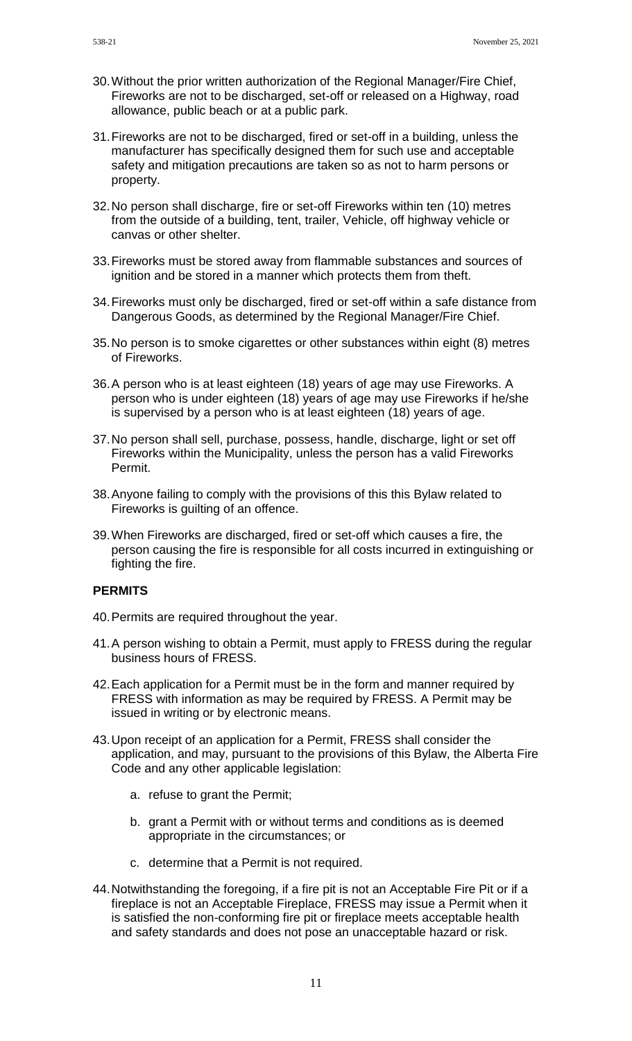- 30.Without the prior written authorization of the Regional Manager/Fire Chief, Fireworks are not to be discharged, set-off or released on a Highway, road allowance, public beach or at a public park.
- 31.Fireworks are not to be discharged, fired or set-off in a building, unless the manufacturer has specifically designed them for such use and acceptable safety and mitigation precautions are taken so as not to harm persons or property.
- 32.No person shall discharge, fire or set-off Fireworks within ten (10) metres from the outside of a building, tent, trailer, Vehicle, off highway vehicle or canvas or other shelter.
- 33.Fireworks must be stored away from flammable substances and sources of ignition and be stored in a manner which protects them from theft.
- 34.Fireworks must only be discharged, fired or set-off within a safe distance from Dangerous Goods, as determined by the Regional Manager/Fire Chief.
- 35.No person is to smoke cigarettes or other substances within eight (8) metres of Fireworks.
- 36.A person who is at least eighteen (18) years of age may use Fireworks. A person who is under eighteen (18) years of age may use Fireworks if he/she is supervised by a person who is at least eighteen (18) years of age.
- 37.No person shall sell, purchase, possess, handle, discharge, light or set off Fireworks within the Municipality, unless the person has a valid Fireworks Permit.
- 38.Anyone failing to comply with the provisions of this this Bylaw related to Fireworks is guilting of an offence.
- 39.When Fireworks are discharged, fired or set-off which causes a fire, the person causing the fire is responsible for all costs incurred in extinguishing or fighting the fire.

## **PERMITS**

- 40.Permits are required throughout the year.
- 41.A person wishing to obtain a Permit, must apply to FRESS during the regular business hours of FRESS.
- 42.Each application for a Permit must be in the form and manner required by FRESS with information as may be required by FRESS. A Permit may be issued in writing or by electronic means.
- 43.Upon receipt of an application for a Permit, FRESS shall consider the application, and may, pursuant to the provisions of this Bylaw, the Alberta Fire Code and any other applicable legislation:
	- a. refuse to grant the Permit;
	- b. grant a Permit with or without terms and conditions as is deemed appropriate in the circumstances; or
	- c. determine that a Permit is not required.
- 44.Notwithstanding the foregoing, if a fire pit is not an Acceptable Fire Pit or if a fireplace is not an Acceptable Fireplace, FRESS may issue a Permit when it is satisfied the non-conforming fire pit or fireplace meets acceptable health and safety standards and does not pose an unacceptable hazard or risk.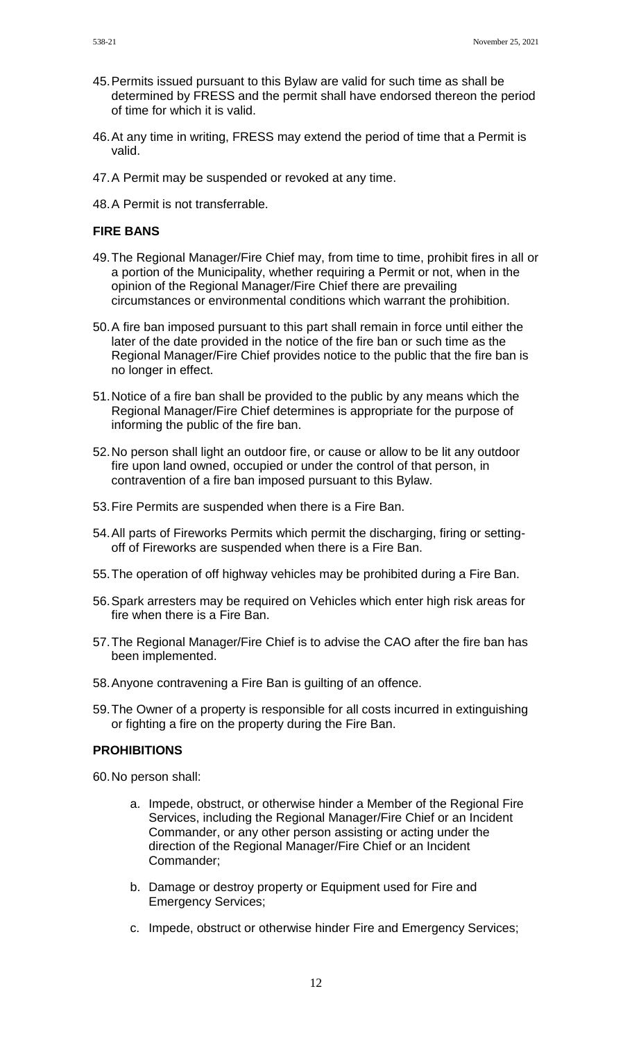- 45.Permits issued pursuant to this Bylaw are valid for such time as shall be determined by FRESS and the permit shall have endorsed thereon the period of time for which it is valid.
- 46.At any time in writing, FRESS may extend the period of time that a Permit is valid.
- 47.A Permit may be suspended or revoked at any time.
- 48.A Permit is not transferrable.

## **FIRE BANS**

- 49.The Regional Manager/Fire Chief may, from time to time, prohibit fires in all or a portion of the Municipality, whether requiring a Permit or not, when in the opinion of the Regional Manager/Fire Chief there are prevailing circumstances or environmental conditions which warrant the prohibition.
- 50.A fire ban imposed pursuant to this part shall remain in force until either the later of the date provided in the notice of the fire ban or such time as the Regional Manager/Fire Chief provides notice to the public that the fire ban is no longer in effect.
- 51.Notice of a fire ban shall be provided to the public by any means which the Regional Manager/Fire Chief determines is appropriate for the purpose of informing the public of the fire ban.
- 52.No person shall light an outdoor fire, or cause or allow to be lit any outdoor fire upon land owned, occupied or under the control of that person, in contravention of a fire ban imposed pursuant to this Bylaw.
- 53.Fire Permits are suspended when there is a Fire Ban.
- 54.All parts of Fireworks Permits which permit the discharging, firing or settingoff of Fireworks are suspended when there is a Fire Ban.
- 55.The operation of off highway vehicles may be prohibited during a Fire Ban.
- 56.Spark arresters may be required on Vehicles which enter high risk areas for fire when there is a Fire Ban.
- 57.The Regional Manager/Fire Chief is to advise the CAO after the fire ban has been implemented.
- 58.Anyone contravening a Fire Ban is guilting of an offence.
- 59.The Owner of a property is responsible for all costs incurred in extinguishing or fighting a fire on the property during the Fire Ban.

### **PROHIBITIONS**

60.No person shall:

- a. Impede, obstruct, or otherwise hinder a Member of the Regional Fire Services, including the Regional Manager/Fire Chief or an Incident Commander, or any other person assisting or acting under the direction of the Regional Manager/Fire Chief or an Incident Commander;
- b. Damage or destroy property or Equipment used for Fire and Emergency Services;
- c. Impede, obstruct or otherwise hinder Fire and Emergency Services;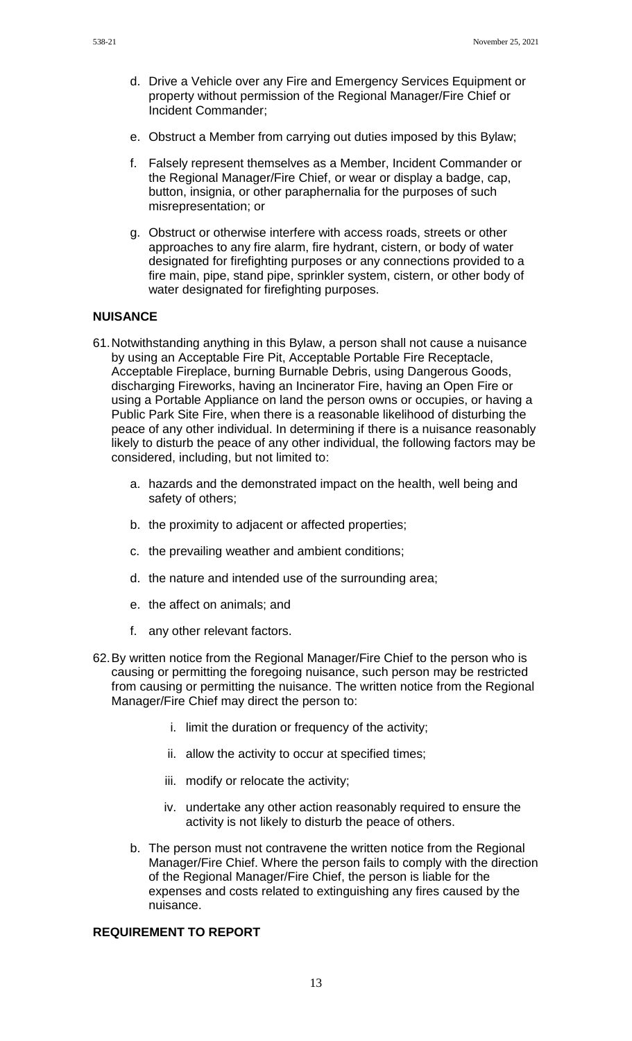- d. Drive a Vehicle over any Fire and Emergency Services Equipment or property without permission of the Regional Manager/Fire Chief or Incident Commander;
- e. Obstruct a Member from carrying out duties imposed by this Bylaw;
- f. Falsely represent themselves as a Member, Incident Commander or the Regional Manager/Fire Chief, or wear or display a badge, cap, button, insignia, or other paraphernalia for the purposes of such misrepresentation; or
- g. Obstruct or otherwise interfere with access roads, streets or other approaches to any fire alarm, fire hydrant, cistern, or body of water designated for firefighting purposes or any connections provided to a fire main, pipe, stand pipe, sprinkler system, cistern, or other body of water designated for firefighting purposes.

## **NUISANCE**

- 61.Notwithstanding anything in this Bylaw, a person shall not cause a nuisance by using an Acceptable Fire Pit, Acceptable Portable Fire Receptacle, Acceptable Fireplace, burning Burnable Debris, using Dangerous Goods, discharging Fireworks, having an Incinerator Fire, having an Open Fire or using a Portable Appliance on land the person owns or occupies, or having a Public Park Site Fire, when there is a reasonable likelihood of disturbing the peace of any other individual. In determining if there is a nuisance reasonably likely to disturb the peace of any other individual, the following factors may be considered, including, but not limited to:
	- a. hazards and the demonstrated impact on the health, well being and safety of others;
	- b. the proximity to adjacent or affected properties;
	- c. the prevailing weather and ambient conditions;
	- d. the nature and intended use of the surrounding area;
	- e. the affect on animals; and
	- f. any other relevant factors.
- 62.By written notice from the Regional Manager/Fire Chief to the person who is causing or permitting the foregoing nuisance, such person may be restricted from causing or permitting the nuisance. The written notice from the Regional Manager/Fire Chief may direct the person to:
	- i. limit the duration or frequency of the activity;
	- ii. allow the activity to occur at specified times;
	- iii. modify or relocate the activity;
	- iv. undertake any other action reasonably required to ensure the activity is not likely to disturb the peace of others.
	- b. The person must not contravene the written notice from the Regional Manager/Fire Chief. Where the person fails to comply with the direction of the Regional Manager/Fire Chief, the person is liable for the expenses and costs related to extinguishing any fires caused by the nuisance.

## **REQUIREMENT TO REPORT**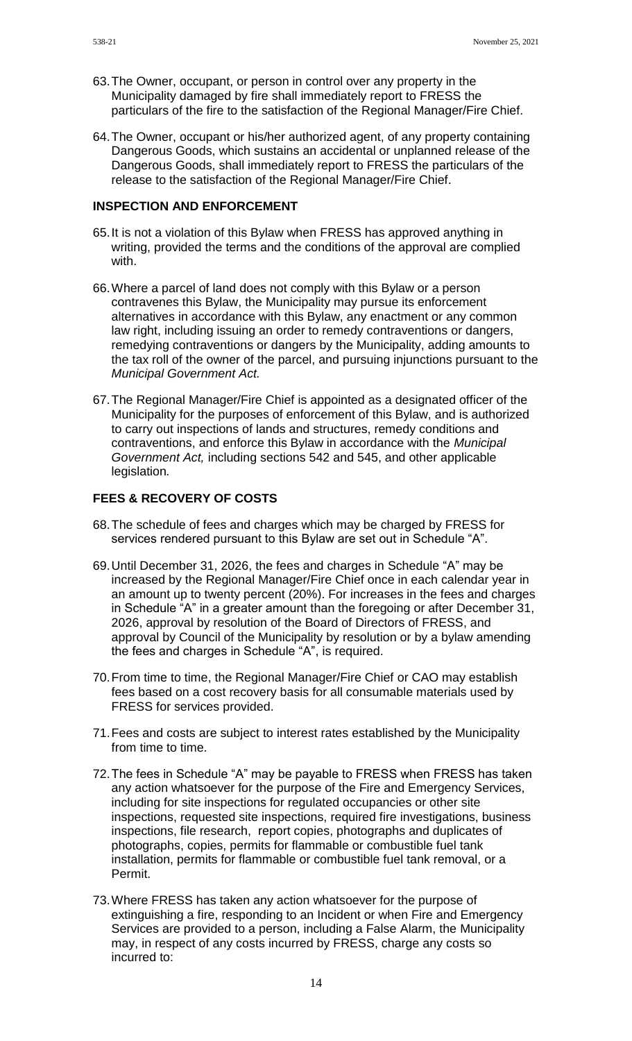- 63.The Owner, occupant, or person in control over any property in the Municipality damaged by fire shall immediately report to FRESS the particulars of the fire to the satisfaction of the Regional Manager/Fire Chief.
- 64.The Owner, occupant or his/her authorized agent, of any property containing Dangerous Goods, which sustains an accidental or unplanned release of the Dangerous Goods, shall immediately report to FRESS the particulars of the release to the satisfaction of the Regional Manager/Fire Chief.

## **INSPECTION AND ENFORCEMENT**

- 65.It is not a violation of this Bylaw when FRESS has approved anything in writing, provided the terms and the conditions of the approval are complied with.
- 66.Where a parcel of land does not comply with this Bylaw or a person contravenes this Bylaw, the Municipality may pursue its enforcement alternatives in accordance with this Bylaw, any enactment or any common law right, including issuing an order to remedy contraventions or dangers, remedying contraventions or dangers by the Municipality, adding amounts to the tax roll of the owner of the parcel, and pursuing injunctions pursuant to the *Municipal Government Act.*
- 67.The Regional Manager/Fire Chief is appointed as a designated officer of the Municipality for the purposes of enforcement of this Bylaw, and is authorized to carry out inspections of lands and structures, remedy conditions and contraventions, and enforce this Bylaw in accordance with the *Municipal Government Act,* including sections 542 and 545, and other applicable legislation*.*

### **FEES & RECOVERY OF COSTS**

- 68.The schedule of fees and charges which may be charged by FRESS for services rendered pursuant to this Bylaw are set out in Schedule "A".
- 69.Until December 31, 2026, the fees and charges in Schedule "A" may be increased by the Regional Manager/Fire Chief once in each calendar year in an amount up to twenty percent (20%). For increases in the fees and charges in Schedule "A" in a greater amount than the foregoing or after December 31, 2026, approval by resolution of the Board of Directors of FRESS, and approval by Council of the Municipality by resolution or by a bylaw amending the fees and charges in Schedule "A", is required.
- 70.From time to time, the Regional Manager/Fire Chief or CAO may establish fees based on a cost recovery basis for all consumable materials used by FRESS for services provided.
- 71.Fees and costs are subject to interest rates established by the Municipality from time to time.
- 72.The fees in Schedule "A" may be payable to FRESS when FRESS has taken any action whatsoever for the purpose of the Fire and Emergency Services, including for site inspections for regulated occupancies or other site inspections, requested site inspections, required fire investigations, business inspections, file research, report copies, photographs and duplicates of photographs, copies, permits for flammable or combustible fuel tank installation, permits for flammable or combustible fuel tank removal, or a Permit.
- 73.Where FRESS has taken any action whatsoever for the purpose of extinguishing a fire, responding to an Incident or when Fire and Emergency Services are provided to a person, including a False Alarm, the Municipality may, in respect of any costs incurred by FRESS, charge any costs so incurred to:

14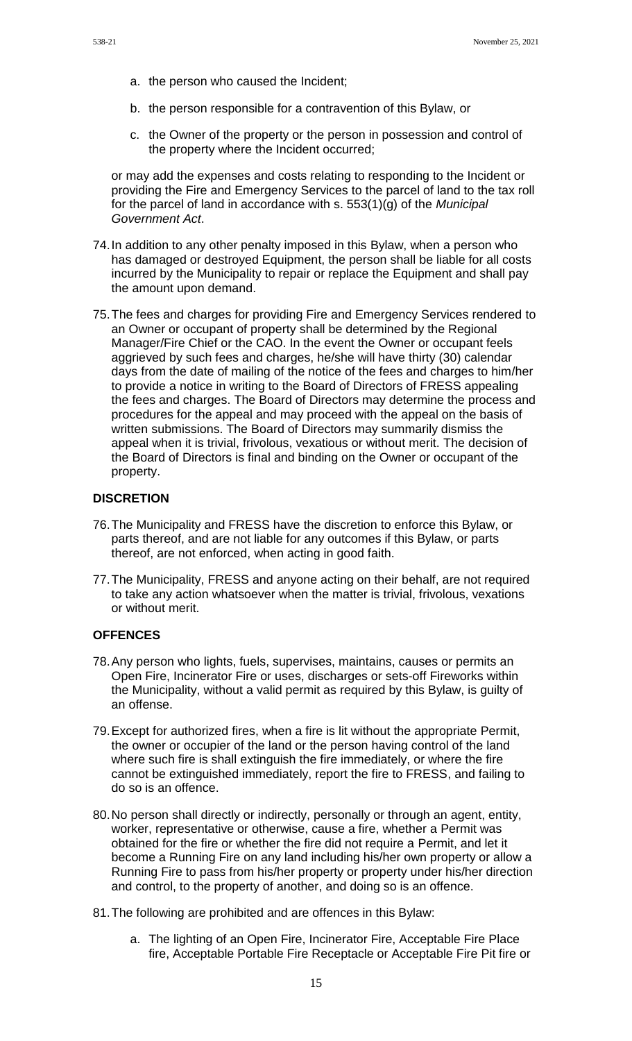- a. the person who caused the Incident;
- b. the person responsible for a contravention of this Bylaw, or
- c. the Owner of the property or the person in possession and control of the property where the Incident occurred;

or may add the expenses and costs relating to responding to the Incident or providing the Fire and Emergency Services to the parcel of land to the tax roll for the parcel of land in accordance with s. 553(1)(g) of the *Municipal Government Act*.

- 74.In addition to any other penalty imposed in this Bylaw, when a person who has damaged or destroyed Equipment, the person shall be liable for all costs incurred by the Municipality to repair or replace the Equipment and shall pay the amount upon demand.
- 75.The fees and charges for providing Fire and Emergency Services rendered to an Owner or occupant of property shall be determined by the Regional Manager/Fire Chief or the CAO. In the event the Owner or occupant feels aggrieved by such fees and charges, he/she will have thirty (30) calendar days from the date of mailing of the notice of the fees and charges to him/her to provide a notice in writing to the Board of Directors of FRESS appealing the fees and charges. The Board of Directors may determine the process and procedures for the appeal and may proceed with the appeal on the basis of written submissions. The Board of Directors may summarily dismiss the appeal when it is trivial, frivolous, vexatious or without merit. The decision of the Board of Directors is final and binding on the Owner or occupant of the property.

### **DISCRETION**

- 76.The Municipality and FRESS have the discretion to enforce this Bylaw, or parts thereof, and are not liable for any outcomes if this Bylaw, or parts thereof, are not enforced, when acting in good faith.
- 77.The Municipality, FRESS and anyone acting on their behalf, are not required to take any action whatsoever when the matter is trivial, frivolous, vexations or without merit.

#### **OFFENCES**

- 78.Any person who lights, fuels, supervises, maintains, causes or permits an Open Fire, Incinerator Fire or uses, discharges or sets-off Fireworks within the Municipality, without a valid permit as required by this Bylaw, is guilty of an offense.
- 79.Except for authorized fires, when a fire is lit without the appropriate Permit, the owner or occupier of the land or the person having control of the land where such fire is shall extinguish the fire immediately, or where the fire cannot be extinguished immediately, report the fire to FRESS, and failing to do so is an offence.
- 80.No person shall directly or indirectly, personally or through an agent, entity, worker, representative or otherwise, cause a fire, whether a Permit was obtained for the fire or whether the fire did not require a Permit, and let it become a Running Fire on any land including his/her own property or allow a Running Fire to pass from his/her property or property under his/her direction and control, to the property of another, and doing so is an offence.
- 81.The following are prohibited and are offences in this Bylaw:
	- a. The lighting of an Open Fire, Incinerator Fire, Acceptable Fire Place fire, Acceptable Portable Fire Receptacle or Acceptable Fire Pit fire or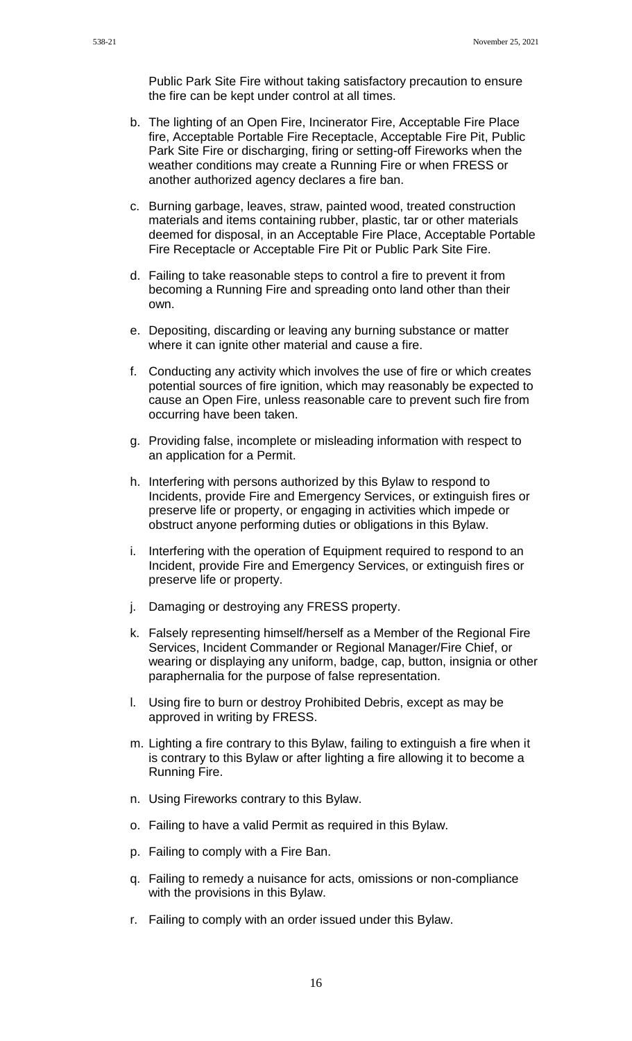Public Park Site Fire without taking satisfactory precaution to ensure the fire can be kept under control at all times.

- b. The lighting of an Open Fire, Incinerator Fire, Acceptable Fire Place fire, Acceptable Portable Fire Receptacle, Acceptable Fire Pit, Public Park Site Fire or discharging, firing or setting-off Fireworks when the weather conditions may create a Running Fire or when FRESS or another authorized agency declares a fire ban.
- c. Burning garbage, leaves, straw, painted wood, treated construction materials and items containing rubber, plastic, tar or other materials deemed for disposal, in an Acceptable Fire Place, Acceptable Portable Fire Receptacle or Acceptable Fire Pit or Public Park Site Fire.
- d. Failing to take reasonable steps to control a fire to prevent it from becoming a Running Fire and spreading onto land other than their own.
- e. Depositing, discarding or leaving any burning substance or matter where it can ignite other material and cause a fire.
- f. Conducting any activity which involves the use of fire or which creates potential sources of fire ignition, which may reasonably be expected to cause an Open Fire, unless reasonable care to prevent such fire from occurring have been taken.
- g. Providing false, incomplete or misleading information with respect to an application for a Permit.
- h. Interfering with persons authorized by this Bylaw to respond to Incidents, provide Fire and Emergency Services, or extinguish fires or preserve life or property, or engaging in activities which impede or obstruct anyone performing duties or obligations in this Bylaw.
- i. Interfering with the operation of Equipment required to respond to an Incident, provide Fire and Emergency Services, or extinguish fires or preserve life or property.
- j. Damaging or destroying any FRESS property.
- k. Falsely representing himself/herself as a Member of the Regional Fire Services, Incident Commander or Regional Manager/Fire Chief, or wearing or displaying any uniform, badge, cap, button, insignia or other paraphernalia for the purpose of false representation.
- l. Using fire to burn or destroy Prohibited Debris, except as may be approved in writing by FRESS.
- m. Lighting a fire contrary to this Bylaw, failing to extinguish a fire when it is contrary to this Bylaw or after lighting a fire allowing it to become a Running Fire.
- n. Using Fireworks contrary to this Bylaw.
- o. Failing to have a valid Permit as required in this Bylaw.
- p. Failing to comply with a Fire Ban.
- q. Failing to remedy a nuisance for acts, omissions or non-compliance with the provisions in this Bylaw.
- r. Failing to comply with an order issued under this Bylaw.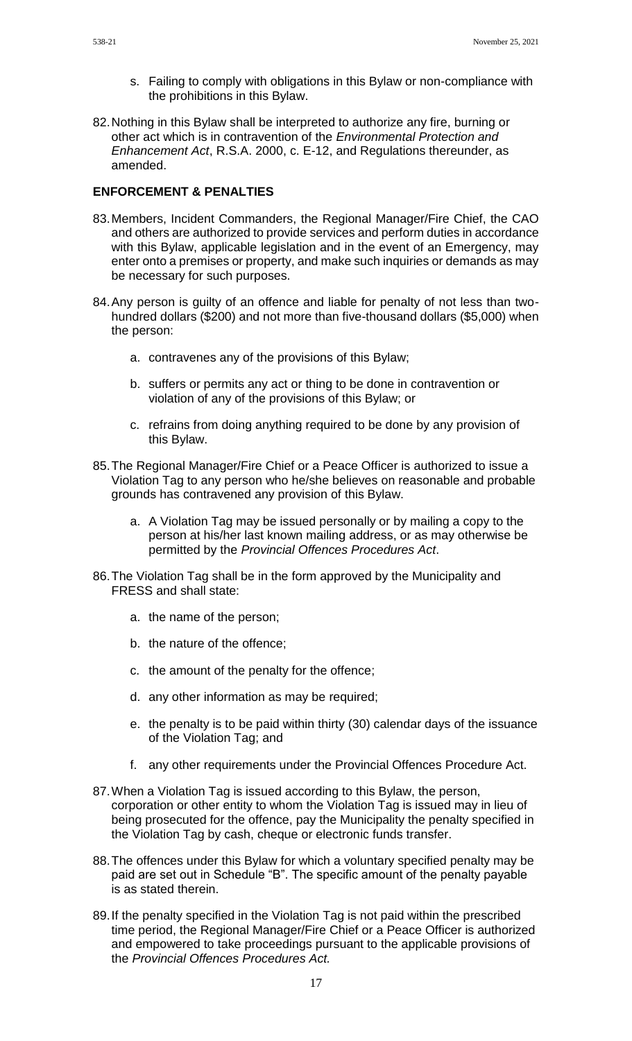- s. Failing to comply with obligations in this Bylaw or non-compliance with the prohibitions in this Bylaw.
- 82.Nothing in this Bylaw shall be interpreted to authorize any fire, burning or other act which is in contravention of the *Environmental Protection and Enhancement Act*, R.S.A. 2000, c. E-12, and Regulations thereunder, as amended.

### **ENFORCEMENT & PENALTIES**

- 83.Members, Incident Commanders, the Regional Manager/Fire Chief, the CAO and others are authorized to provide services and perform duties in accordance with this Bylaw, applicable legislation and in the event of an Emergency, may enter onto a premises or property, and make such inquiries or demands as may be necessary for such purposes.
- 84.Any person is guilty of an offence and liable for penalty of not less than twohundred dollars (\$200) and not more than five-thousand dollars (\$5,000) when the person:
	- a. contravenes any of the provisions of this Bylaw;
	- b. suffers or permits any act or thing to be done in contravention or violation of any of the provisions of this Bylaw; or
	- c. refrains from doing anything required to be done by any provision of this Bylaw.
- 85.The Regional Manager/Fire Chief or a Peace Officer is authorized to issue a Violation Tag to any person who he/she believes on reasonable and probable grounds has contravened any provision of this Bylaw.
	- a. A Violation Tag may be issued personally or by mailing a copy to the person at his/her last known mailing address, or as may otherwise be permitted by the *Provincial Offences Procedures Act*.
- 86.The Violation Tag shall be in the form approved by the Municipality and FRESS and shall state:
	- a. the name of the person;
	- b. the nature of the offence;
	- c. the amount of the penalty for the offence;
	- d. any other information as may be required;
	- e. the penalty is to be paid within thirty (30) calendar days of the issuance of the Violation Tag; and
	- f. any other requirements under the Provincial Offences Procedure Act.
- 87.When a Violation Tag is issued according to this Bylaw, the person, corporation or other entity to whom the Violation Tag is issued may in lieu of being prosecuted for the offence, pay the Municipality the penalty specified in the Violation Tag by cash, cheque or electronic funds transfer.
- 88.The offences under this Bylaw for which a voluntary specified penalty may be paid are set out in Schedule "B". The specific amount of the penalty payable is as stated therein.
- 89.If the penalty specified in the Violation Tag is not paid within the prescribed time period, the Regional Manager/Fire Chief or a Peace Officer is authorized and empowered to take proceedings pursuant to the applicable provisions of the *Provincial Offences Procedures Act.*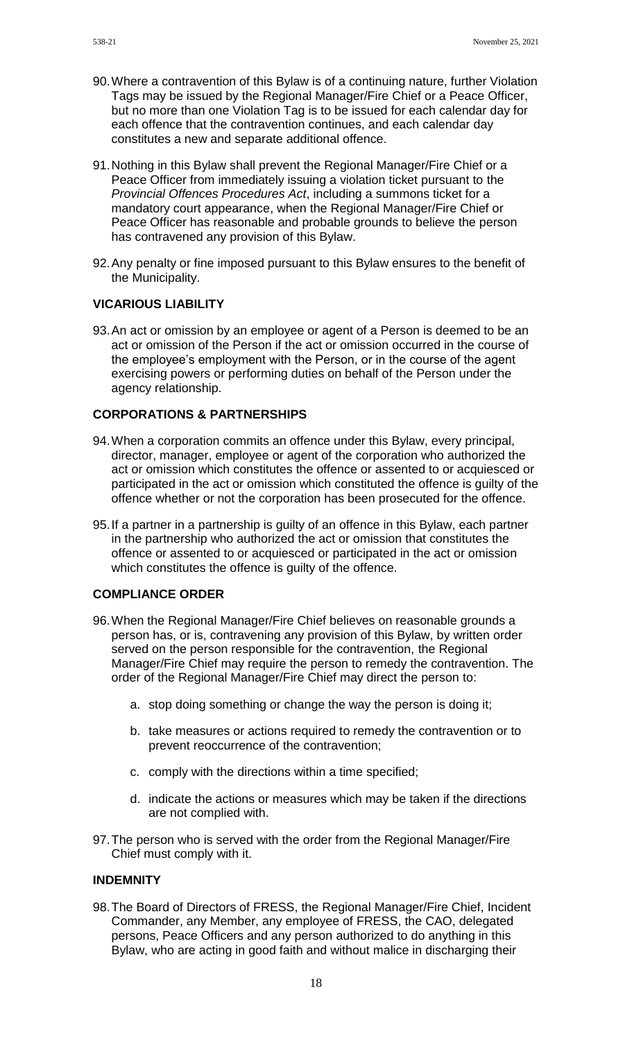- 90.Where a contravention of this Bylaw is of a continuing nature, further Violation Tags may be issued by the Regional Manager/Fire Chief or a Peace Officer, but no more than one Violation Tag is to be issued for each calendar day for each offence that the contravention continues, and each calendar day constitutes a new and separate additional offence.
- 91.Nothing in this Bylaw shall prevent the Regional Manager/Fire Chief or a Peace Officer from immediately issuing a violation ticket pursuant to the *Provincial Offences Procedures Act*, including a summons ticket for a mandatory court appearance, when the Regional Manager/Fire Chief or Peace Officer has reasonable and probable grounds to believe the person has contravened any provision of this Bylaw.
- 92.Any penalty or fine imposed pursuant to this Bylaw ensures to the benefit of the Municipality.

### **VICARIOUS LIABILITY**

93.An act or omission by an employee or agent of a Person is deemed to be an act or omission of the Person if the act or omission occurred in the course of the employee's employment with the Person, or in the course of the agent exercising powers or performing duties on behalf of the Person under the agency relationship.

#### **CORPORATIONS & PARTNERSHIPS**

- 94.When a corporation commits an offence under this Bylaw, every principal, director, manager, employee or agent of the corporation who authorized the act or omission which constitutes the offence or assented to or acquiesced or participated in the act or omission which constituted the offence is guilty of the offence whether or not the corporation has been prosecuted for the offence.
- 95.If a partner in a partnership is guilty of an offence in this Bylaw, each partner in the partnership who authorized the act or omission that constitutes the offence or assented to or acquiesced or participated in the act or omission which constitutes the offence is guilty of the offence.

### **COMPLIANCE ORDER**

- 96.When the Regional Manager/Fire Chief believes on reasonable grounds a person has, or is, contravening any provision of this Bylaw, by written order served on the person responsible for the contravention, the Regional Manager/Fire Chief may require the person to remedy the contravention. The order of the Regional Manager/Fire Chief may direct the person to:
	- a. stop doing something or change the way the person is doing it;
	- b. take measures or actions required to remedy the contravention or to prevent reoccurrence of the contravention;
	- c. comply with the directions within a time specified;
	- d. indicate the actions or measures which may be taken if the directions are not complied with.
- 97.The person who is served with the order from the Regional Manager/Fire Chief must comply with it.

#### **INDEMNITY**

98.The Board of Directors of FRESS, the Regional Manager/Fire Chief, Incident Commander, any Member, any employee of FRESS, the CAO, delegated persons, Peace Officers and any person authorized to do anything in this Bylaw, who are acting in good faith and without malice in discharging their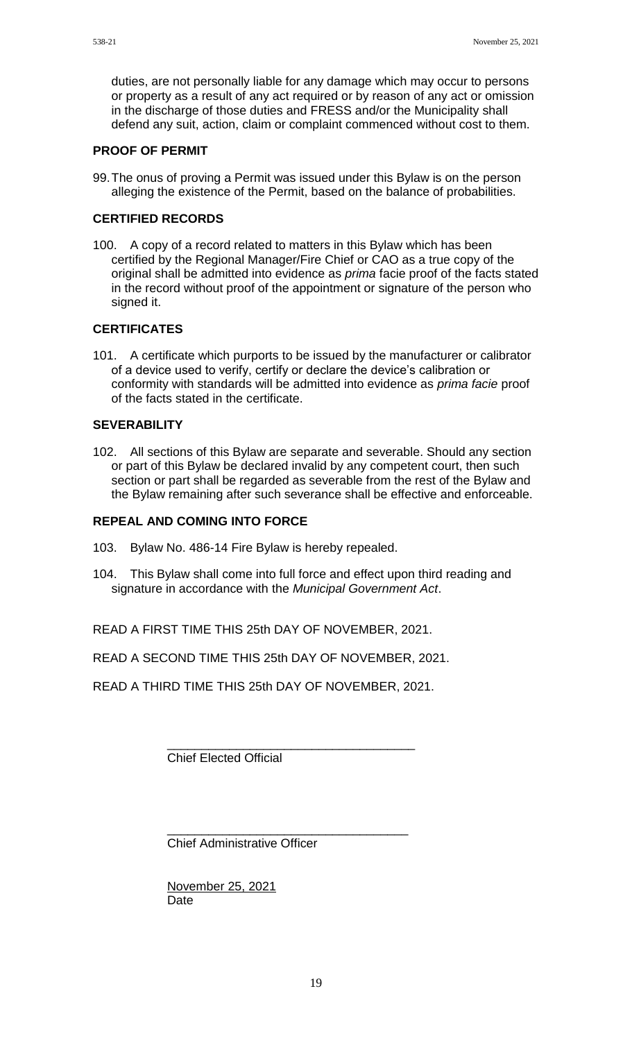duties, are not personally liable for any damage which may occur to persons or property as a result of any act required or by reason of any act or omission in the discharge of those duties and FRESS and/or the Municipality shall defend any suit, action, claim or complaint commenced without cost to them.

### **PROOF OF PERMIT**

99.The onus of proving a Permit was issued under this Bylaw is on the person alleging the existence of the Permit, based on the balance of probabilities.

## **CERTIFIED RECORDS**

100. A copy of a record related to matters in this Bylaw which has been certified by the Regional Manager/Fire Chief or CAO as a true copy of the original shall be admitted into evidence as *prima* facie proof of the facts stated in the record without proof of the appointment or signature of the person who signed it.

# **CERTIFICATES**

101. A certificate which purports to be issued by the manufacturer or calibrator of a device used to verify, certify or declare the device's calibration or conformity with standards will be admitted into evidence as *prima facie* proof of the facts stated in the certificate.

## **SEVERABILITY**

102. All sections of this Bylaw are separate and severable. Should any section or part of this Bylaw be declared invalid by any competent court, then such section or part shall be regarded as severable from the rest of the Bylaw and the Bylaw remaining after such severance shall be effective and enforceable.

### **REPEAL AND COMING INTO FORCE**

- 103. Bylaw No. 486-14 Fire Bylaw is hereby repealed.
- 104. This Bylaw shall come into full force and effect upon third reading and signature in accordance with the *Municipal Government Act*.

READ A FIRST TIME THIS 25th DAY OF NOVEMBER, 2021.

READ A SECOND TIME THIS 25th DAY OF NOVEMBER, 2021.

READ A THIRD TIME THIS 25th DAY OF NOVEMBER, 2021.

\_\_\_\_\_\_\_\_\_\_\_\_\_\_\_\_\_\_\_\_\_\_\_\_\_\_\_\_\_\_\_\_\_\_\_\_ Chief Elected Official

\_\_\_\_\_\_\_\_\_\_\_\_\_\_\_\_\_\_\_\_\_\_\_\_\_\_\_\_\_\_\_\_\_\_\_ Chief Administrative Officer

November 25, 2021 **Date**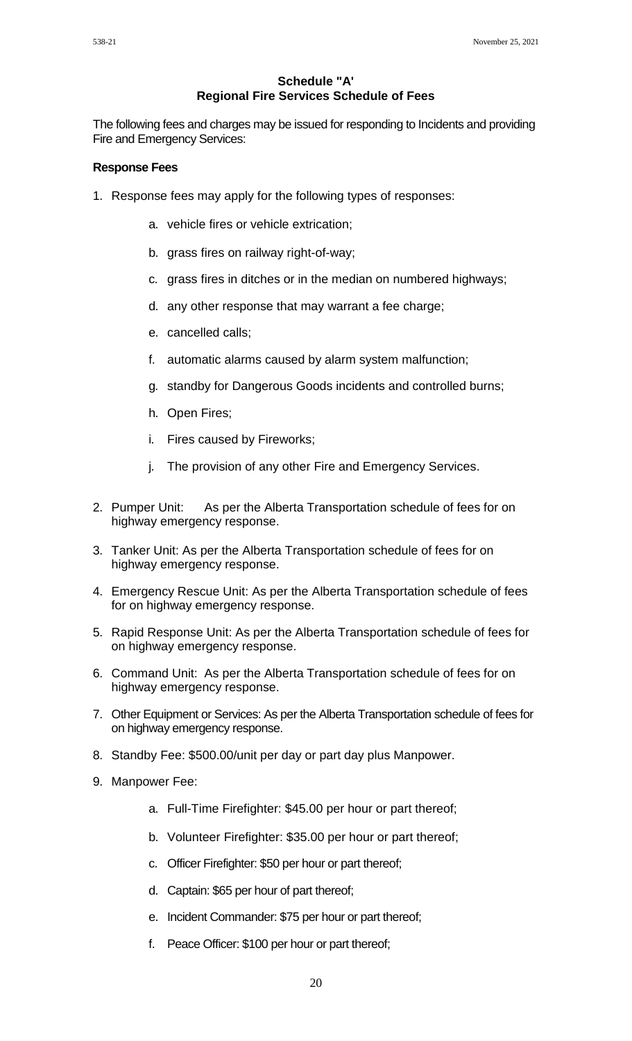### **Schedule "A' Regional Fire Services Schedule of Fees**

The following fees and charges may be issued for responding to Incidents and providing Fire and Emergency Services:

#### **Response Fees**

- 1. Response fees may apply for the following types of responses:
	- a. vehicle fires or vehicle extrication;
	- b. grass fires on railway right-of-way;
	- c. grass fires in ditches or in the median on numbered highways;
	- d. any other response that may warrant a fee charge;
	- e. cancelled calls;
	- f. automatic alarms caused by alarm system malfunction;
	- g. standby for Dangerous Goods incidents and controlled burns;
	- h. Open Fires;
	- i. Fires caused by Fireworks;
	- j. The provision of any other Fire and Emergency Services.
- 2. Pumper Unit: As per the Alberta Transportation schedule of fees for on highway emergency response.
- 3. Tanker Unit: As per the Alberta Transportation schedule of fees for on highway emergency response.
- 4. Emergency Rescue Unit: As per the Alberta Transportation schedule of fees for on highway emergency response.
- 5. Rapid Response Unit: As per the Alberta Transportation schedule of fees for on highway emergency response.
- 6. Command Unit: As per the Alberta Transportation schedule of fees for on highway emergency response.
- 7. Other Equipment or Services: As per the Alberta Transportation schedule of fees for on highway emergency response.
- 8. Standby Fee: \$500.00/unit per day or part day plus Manpower.
- 9. Manpower Fee:
	- a. Full-Time Firefighter: \$45.00 per hour or part thereof;
	- b. Volunteer Firefighter: \$35.00 per hour or part thereof;
	- c. Officer Firefighter: \$50 per hour or part thereof;
	- d. Captain: \$65 per hour of part thereof;
	- e. Incident Commander: \$75 per hour or part thereof;
	- f. Peace Officer: \$100 per hour or part thereof;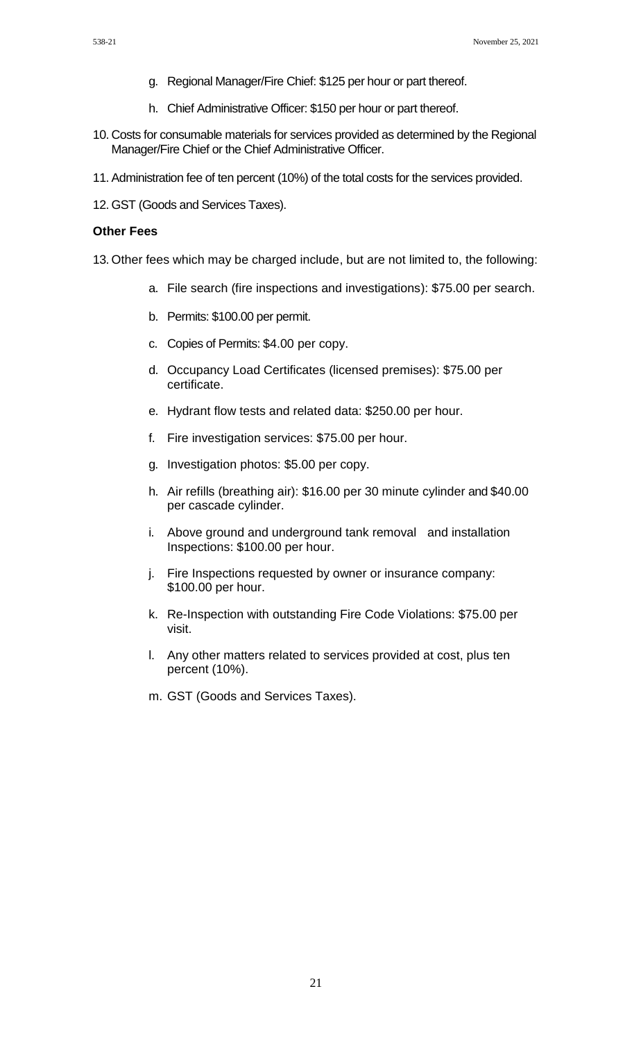- g. Regional Manager/Fire Chief: \$125 per hour or part thereof.
- h. Chief Administrative Officer: \$150 per hour or part thereof.
- 10. Costs for consumable materials for services provided as determined by the Regional Manager/Fire Chief or the Chief Administrative Officer.
- 11. Administration fee of ten percent (10%) of the total costs for the services provided.
- 12. GST (Goods and Services Taxes).

#### **Other Fees**

- 13. Other fees which may be charged include, but are not limited to, the following:
	- a. File search (fire inspections and investigations): \$75.00 per search.
	- b. Permits: \$100.00 per permit.
	- c. Copies of Permits: \$4.00 per copy.
	- d. Occupancy Load Certificates (licensed premises): \$75.00 per certificate.
	- e. Hydrant flow tests and related data: \$250.00 per hour.
	- f. Fire investigation services: \$75.00 per hour.
	- g. Investigation photos: \$5.00 per copy.
	- h. Air refills (breathing air): \$16.00 per 30 minute cylinder and \$40.00 per cascade cylinder.
	- i. Above ground and underground tank removal and installation Inspections: \$100.00 per hour.
	- j. Fire Inspections requested by owner or insurance company: \$100.00 per hour.
	- k. Re-Inspection with outstanding Fire Code Violations: \$75.00 per visit.
	- l. Any other matters related to services provided at cost, plus ten percent (10%).
	- m. GST (Goods and Services Taxes).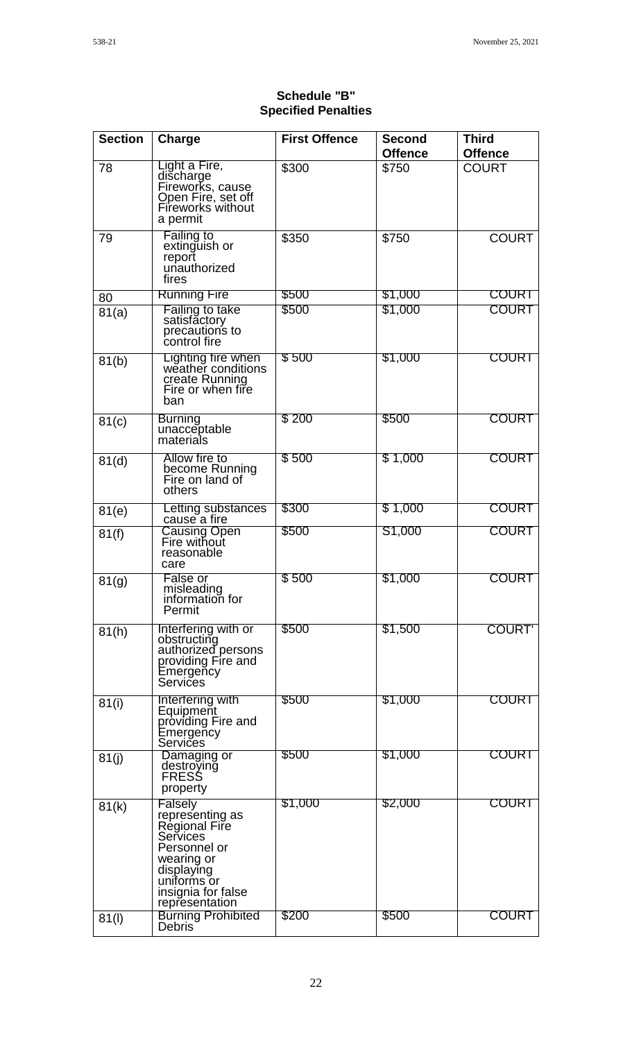| <b>Section</b> | Charge                                                                                                                                                     | <b>First Offence</b> | <b>Second</b><br><b>Offence</b> | <b>Third</b><br><b>Offence</b> |
|----------------|------------------------------------------------------------------------------------------------------------------------------------------------------------|----------------------|---------------------------------|--------------------------------|
| 78             | Light a Fire,<br>discharge<br>Fireworks, cause<br>Open Fire, set off<br>Fireworks without<br>a permit                                                      | \$300                | \$750                           | <b>COURT</b>                   |
| 79             | Failing to<br>extinguish or<br>report<br>unauthorized<br>fires                                                                                             | \$350                | \$750                           | <b>COURT</b>                   |
| 80             | <b>Running Fire</b>                                                                                                                                        | \$500                | \$1,000                         | <b>COURT</b>                   |
| 81(a)          | Failing to take<br>satisfactory<br>precautions to<br>control fire                                                                                          | \$500                | \$1,000                         | <b>COURT</b>                   |
| 81(b)          | Lighting fire when<br>weather conditions<br>create Running<br>Fire or when fire<br>ban                                                                     | \$500                | \$1,000                         | <b>COURT</b>                   |
| 81(c)          | <b>Burning</b><br>unacceptable<br>materials                                                                                                                | \$200                | \$500                           | <b>COURT</b>                   |
| 81(d)          | Allow fire to<br>become Running<br>Fire on land of<br>others                                                                                               | \$500                | \$1,000                         | <b>COURT</b>                   |
| 81(e)          | Letting substances<br>cause a fire                                                                                                                         | \$300                | \$1,000                         | <b>COURT</b>                   |
| 81(f)          | Causing Open<br>Fire without<br>reasonable<br>care                                                                                                         | \$500                | S1,000                          | <b>COURT</b>                   |
| 81(g)          | False or<br>misleading<br>information for<br>Permit                                                                                                        | \$500                | \$1,000                         | <b>COURT</b>                   |
| 81(h)          | Interfering with or<br>obstructing<br>authorized_persons<br>providing Fire and<br>Emergeñcy<br>Services                                                    | \$500                | \$1,500                         | <b>COURT</b>                   |
| 81(i)          | Interfering with<br>Equipment<br>providing Fire and<br>Emergeñcy<br>Services                                                                               | \$500                | \$1,000                         | COURT                          |
| 81(j)          | Damaging or<br>destroving<br>FRESS<br>property                                                                                                             | \$500                | \$1,000                         | <b>COURT</b>                   |
| 81(k)          | Falsely<br>representing as<br>Regional Fire<br>Services<br>Personnel or<br>wearing or<br>displaying<br>uniforms or<br>insignia for false<br>representation | \$1,000              | \$2,000                         | <b>COURT</b>                   |
| 81(1)          | <b>Burning Prohibited</b><br><b>Debris</b>                                                                                                                 | \$200                | \$500                           | <b>COURT</b>                   |

# **Schedule "B" Specified Penalties**